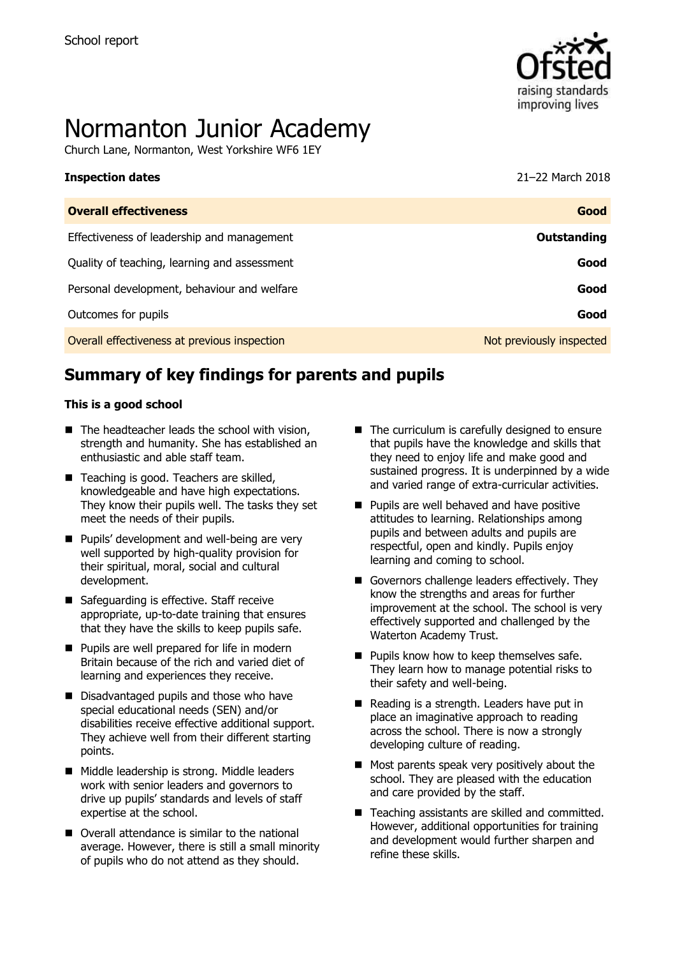

# Normanton Junior Academy

Church Lane, Normanton, West Yorkshire WF6 1EY

| <b>Inspection dates</b>                      | 21–22 March 2018         |
|----------------------------------------------|--------------------------|
| <b>Overall effectiveness</b>                 | Good                     |
| Effectiveness of leadership and management   | Outstanding              |
| Quality of teaching, learning and assessment | Good                     |
| Personal development, behaviour and welfare  | Good                     |
| Outcomes for pupils                          | Good                     |
| Overall effectiveness at previous inspection | Not previously inspected |

# **Summary of key findings for parents and pupils**

#### **This is a good school**

- $\blacksquare$  The headteacher leads the school with vision, strength and humanity. She has established an enthusiastic and able staff team.
- Teaching is good. Teachers are skilled, knowledgeable and have high expectations. They know their pupils well. The tasks they set meet the needs of their pupils.
- **Pupils' development and well-being are very** well supported by high-quality provision for their spiritual, moral, social and cultural development.
- Safeguarding is effective. Staff receive appropriate, up-to-date training that ensures that they have the skills to keep pupils safe.
- **Pupils are well prepared for life in modern** Britain because of the rich and varied diet of learning and experiences they receive.
- Disadvantaged pupils and those who have special educational needs (SEN) and/or disabilities receive effective additional support. They achieve well from their different starting points.
- Middle leadership is strong. Middle leaders work with senior leaders and governors to drive up pupils' standards and levels of staff expertise at the school.
- Overall attendance is similar to the national average. However, there is still a small minority of pupils who do not attend as they should.
- $\blacksquare$  The curriculum is carefully designed to ensure that pupils have the knowledge and skills that they need to enjoy life and make good and sustained progress. It is underpinned by a wide and varied range of extra-curricular activities.
- **Pupils are well behaved and have positive** attitudes to learning. Relationships among pupils and between adults and pupils are respectful, open and kindly. Pupils enjoy learning and coming to school.
- Governors challenge leaders effectively. They know the strengths and areas for further improvement at the school. The school is very effectively supported and challenged by the Waterton Academy Trust.
- **Pupils know how to keep themselves safe.** They learn how to manage potential risks to their safety and well-being.
- Reading is a strength. Leaders have put in place an imaginative approach to reading across the school. There is now a strongly developing culture of reading.
- Most parents speak very positively about the school. They are pleased with the education and care provided by the staff.
- Teaching assistants are skilled and committed. However, additional opportunities for training and development would further sharpen and refine these skills.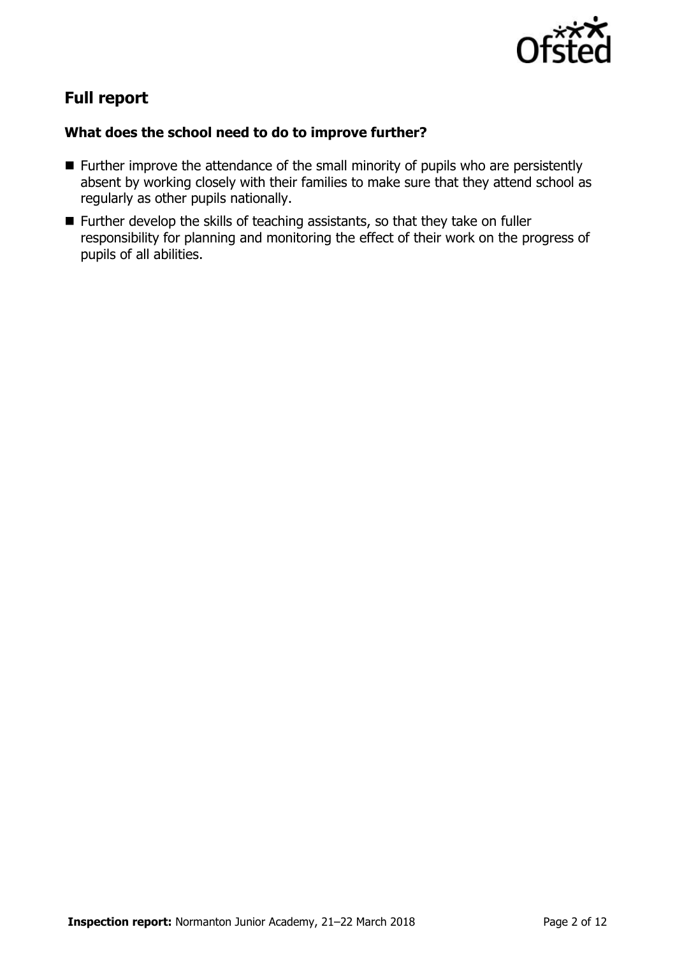

# **Full report**

### **What does the school need to do to improve further?**

- **Further improve the attendance of the small minority of pupils who are persistently** absent by working closely with their families to make sure that they attend school as regularly as other pupils nationally.
- Further develop the skills of teaching assistants, so that they take on fuller responsibility for planning and monitoring the effect of their work on the progress of pupils of all abilities.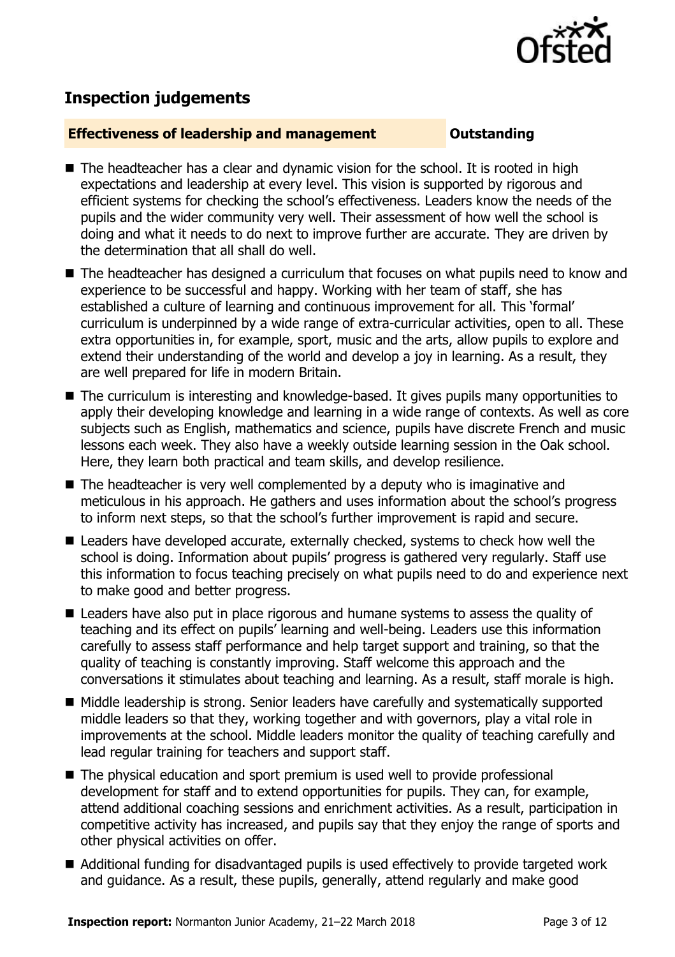

# **Inspection judgements**

#### **Effectiveness of leadership and management Constanding**

- $\blacksquare$  The headteacher has a clear and dynamic vision for the school. It is rooted in high expectations and leadership at every level. This vision is supported by rigorous and efficient systems for checking the school's effectiveness. Leaders know the needs of the pupils and the wider community very well. Their assessment of how well the school is doing and what it needs to do next to improve further are accurate. They are driven by the determination that all shall do well.
- The headteacher has designed a curriculum that focuses on what pupils need to know and experience to be successful and happy. Working with her team of staff, she has established a culture of learning and continuous improvement for all. This 'formal' curriculum is underpinned by a wide range of extra-curricular activities, open to all. These extra opportunities in, for example, sport, music and the arts, allow pupils to explore and extend their understanding of the world and develop a joy in learning. As a result, they are well prepared for life in modern Britain.
- The curriculum is interesting and knowledge-based. It gives pupils many opportunities to apply their developing knowledge and learning in a wide range of contexts. As well as core subjects such as English, mathematics and science, pupils have discrete French and music lessons each week. They also have a weekly outside learning session in the Oak school. Here, they learn both practical and team skills, and develop resilience.
- The headteacher is very well complemented by a deputy who is imaginative and meticulous in his approach. He gathers and uses information about the school's progress to inform next steps, so that the school's further improvement is rapid and secure.
- Leaders have developed accurate, externally checked, systems to check how well the school is doing. Information about pupils' progress is gathered very regularly. Staff use this information to focus teaching precisely on what pupils need to do and experience next to make good and better progress.
- Leaders have also put in place rigorous and humane systems to assess the quality of teaching and its effect on pupils' learning and well-being. Leaders use this information carefully to assess staff performance and help target support and training, so that the quality of teaching is constantly improving. Staff welcome this approach and the conversations it stimulates about teaching and learning. As a result, staff morale is high.
- Middle leadership is strong. Senior leaders have carefully and systematically supported middle leaders so that they, working together and with governors, play a vital role in improvements at the school. Middle leaders monitor the quality of teaching carefully and lead regular training for teachers and support staff.
- The physical education and sport premium is used well to provide professional development for staff and to extend opportunities for pupils. They can, for example, attend additional coaching sessions and enrichment activities. As a result, participation in competitive activity has increased, and pupils say that they enjoy the range of sports and other physical activities on offer.
- Additional funding for disadvantaged pupils is used effectively to provide targeted work and guidance. As a result, these pupils, generally, attend regularly and make good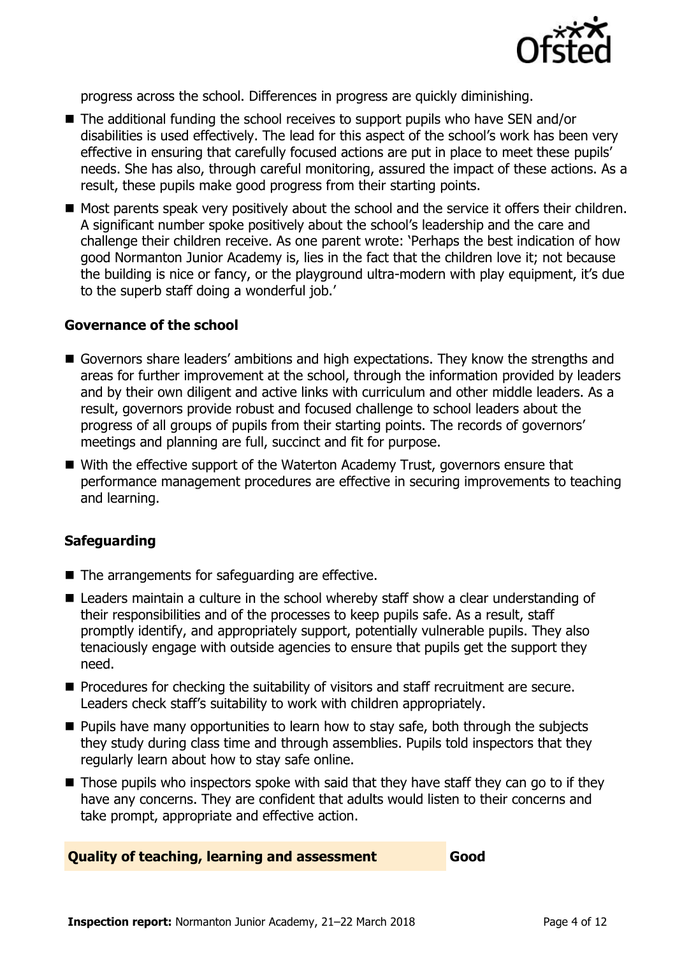

progress across the school. Differences in progress are quickly diminishing.

- The additional funding the school receives to support pupils who have SEN and/or disabilities is used effectively. The lead for this aspect of the school's work has been very effective in ensuring that carefully focused actions are put in place to meet these pupils' needs. She has also, through careful monitoring, assured the impact of these actions. As a result, these pupils make good progress from their starting points.
- Most parents speak very positively about the school and the service it offers their children. A significant number spoke positively about the school's leadership and the care and challenge their children receive. As one parent wrote: 'Perhaps the best indication of how good Normanton Junior Academy is, lies in the fact that the children love it; not because the building is nice or fancy, or the playground ultra-modern with play equipment, it's due to the superb staff doing a wonderful job.'

#### **Governance of the school**

- Governors share leaders' ambitions and high expectations. They know the strengths and areas for further improvement at the school, through the information provided by leaders and by their own diligent and active links with curriculum and other middle leaders. As a result, governors provide robust and focused challenge to school leaders about the progress of all groups of pupils from their starting points. The records of governors' meetings and planning are full, succinct and fit for purpose.
- With the effective support of the Waterton Academy Trust, governors ensure that performance management procedures are effective in securing improvements to teaching and learning.

### **Safeguarding**

- The arrangements for safeguarding are effective.
- Leaders maintain a culture in the school whereby staff show a clear understanding of their responsibilities and of the processes to keep pupils safe. As a result, staff promptly identify, and appropriately support, potentially vulnerable pupils. They also tenaciously engage with outside agencies to ensure that pupils get the support they need.
- **Procedures for checking the suitability of visitors and staff recruitment are secure.** Leaders check staff's suitability to work with children appropriately.
- $\blacksquare$  Pupils have many opportunities to learn how to stay safe, both through the subjects they study during class time and through assemblies. Pupils told inspectors that they regularly learn about how to stay safe online.
- $\blacksquare$  Those pupils who inspectors spoke with said that they have staff they can go to if they have any concerns. They are confident that adults would listen to their concerns and take prompt, appropriate and effective action.

#### **Quality of teaching, learning and assessment Good**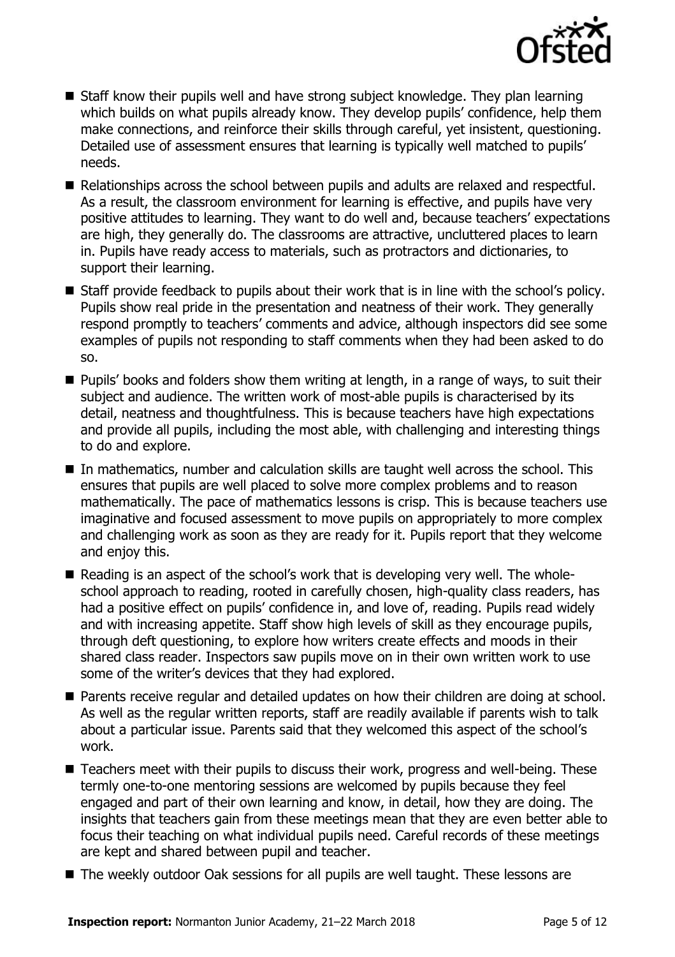

- Staff know their pupils well and have strong subject knowledge. They plan learning which builds on what pupils already know. They develop pupils' confidence, help them make connections, and reinforce their skills through careful, yet insistent, questioning. Detailed use of assessment ensures that learning is typically well matched to pupils' needs.
- Relationships across the school between pupils and adults are relaxed and respectful. As a result, the classroom environment for learning is effective, and pupils have very positive attitudes to learning. They want to do well and, because teachers' expectations are high, they generally do. The classrooms are attractive, uncluttered places to learn in. Pupils have ready access to materials, such as protractors and dictionaries, to support their learning.
- Staff provide feedback to pupils about their work that is in line with the school's policy. Pupils show real pride in the presentation and neatness of their work. They generally respond promptly to teachers' comments and advice, although inspectors did see some examples of pupils not responding to staff comments when they had been asked to do so.
- **Pupils' books and folders show them writing at length, in a range of ways, to suit their** subject and audience. The written work of most-able pupils is characterised by its detail, neatness and thoughtfulness. This is because teachers have high expectations and provide all pupils, including the most able, with challenging and interesting things to do and explore.
- $\blacksquare$  In mathematics, number and calculation skills are taught well across the school. This ensures that pupils are well placed to solve more complex problems and to reason mathematically. The pace of mathematics lessons is crisp. This is because teachers use imaginative and focused assessment to move pupils on appropriately to more complex and challenging work as soon as they are ready for it. Pupils report that they welcome and enjoy this.
- Reading is an aspect of the school's work that is developing very well. The wholeschool approach to reading, rooted in carefully chosen, high-quality class readers, has had a positive effect on pupils' confidence in, and love of, reading. Pupils read widely and with increasing appetite. Staff show high levels of skill as they encourage pupils, through deft questioning, to explore how writers create effects and moods in their shared class reader. Inspectors saw pupils move on in their own written work to use some of the writer's devices that they had explored.
- **Parents receive regular and detailed updates on how their children are doing at school.** As well as the regular written reports, staff are readily available if parents wish to talk about a particular issue. Parents said that they welcomed this aspect of the school's work.
- Teachers meet with their pupils to discuss their work, progress and well-being. These termly one-to-one mentoring sessions are welcomed by pupils because they feel engaged and part of their own learning and know, in detail, how they are doing. The insights that teachers gain from these meetings mean that they are even better able to focus their teaching on what individual pupils need. Careful records of these meetings are kept and shared between pupil and teacher.
- The weekly outdoor Oak sessions for all pupils are well taught. These lessons are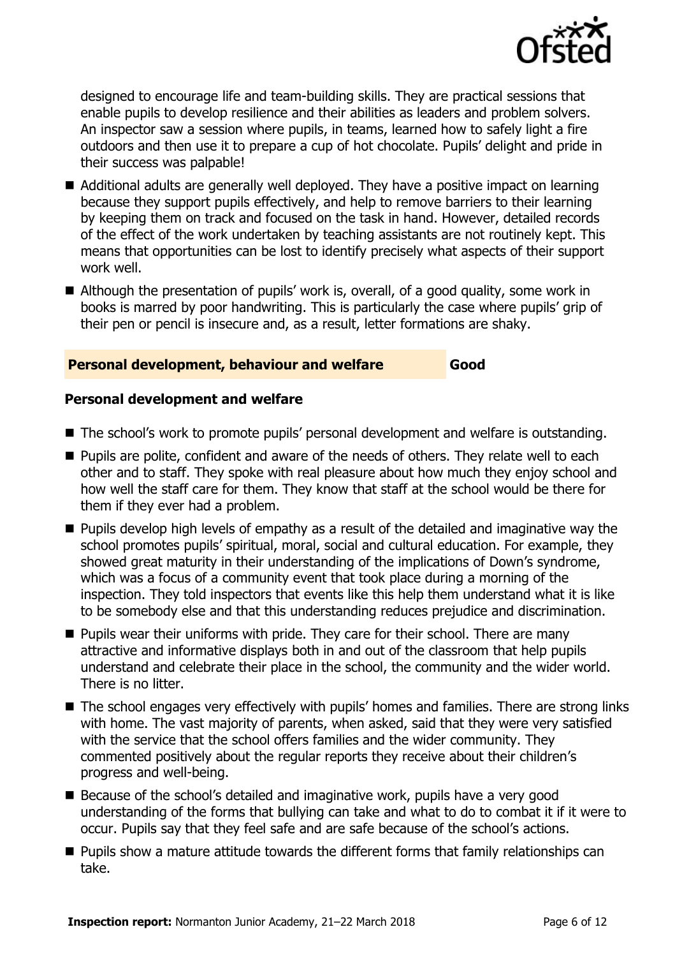

designed to encourage life and team-building skills. They are practical sessions that enable pupils to develop resilience and their abilities as leaders and problem solvers. An inspector saw a session where pupils, in teams, learned how to safely light a fire outdoors and then use it to prepare a cup of hot chocolate. Pupils' delight and pride in their success was palpable!

- Additional adults are generally well deployed. They have a positive impact on learning because they support pupils effectively, and help to remove barriers to their learning by keeping them on track and focused on the task in hand. However, detailed records of the effect of the work undertaken by teaching assistants are not routinely kept. This means that opportunities can be lost to identify precisely what aspects of their support work well.
- Although the presentation of pupils' work is, overall, of a good quality, some work in books is marred by poor handwriting. This is particularly the case where pupils' grip of their pen or pencil is insecure and, as a result, letter formations are shaky.

#### **Personal development, behaviour and welfare Good**

#### **Personal development and welfare**

- The school's work to promote pupils' personal development and welfare is outstanding.
- **Pupils are polite, confident and aware of the needs of others. They relate well to each** other and to staff. They spoke with real pleasure about how much they enjoy school and how well the staff care for them. They know that staff at the school would be there for them if they ever had a problem.
- **Pupils develop high levels of empathy as a result of the detailed and imaginative way the** school promotes pupils' spiritual, moral, social and cultural education. For example, they showed great maturity in their understanding of the implications of Down's syndrome, which was a focus of a community event that took place during a morning of the inspection. They told inspectors that events like this help them understand what it is like to be somebody else and that this understanding reduces prejudice and discrimination.
- $\blacksquare$  Pupils wear their uniforms with pride. They care for their school. There are many attractive and informative displays both in and out of the classroom that help pupils understand and celebrate their place in the school, the community and the wider world. There is no litter.
- The school engages very effectively with pupils' homes and families. There are strong links with home. The vast majority of parents, when asked, said that they were very satisfied with the service that the school offers families and the wider community. They commented positively about the regular reports they receive about their children's progress and well-being.
- Because of the school's detailed and imaginative work, pupils have a very good understanding of the forms that bullying can take and what to do to combat it if it were to occur. Pupils say that they feel safe and are safe because of the school's actions.
- **Pupils show a mature attitude towards the different forms that family relationships can** take.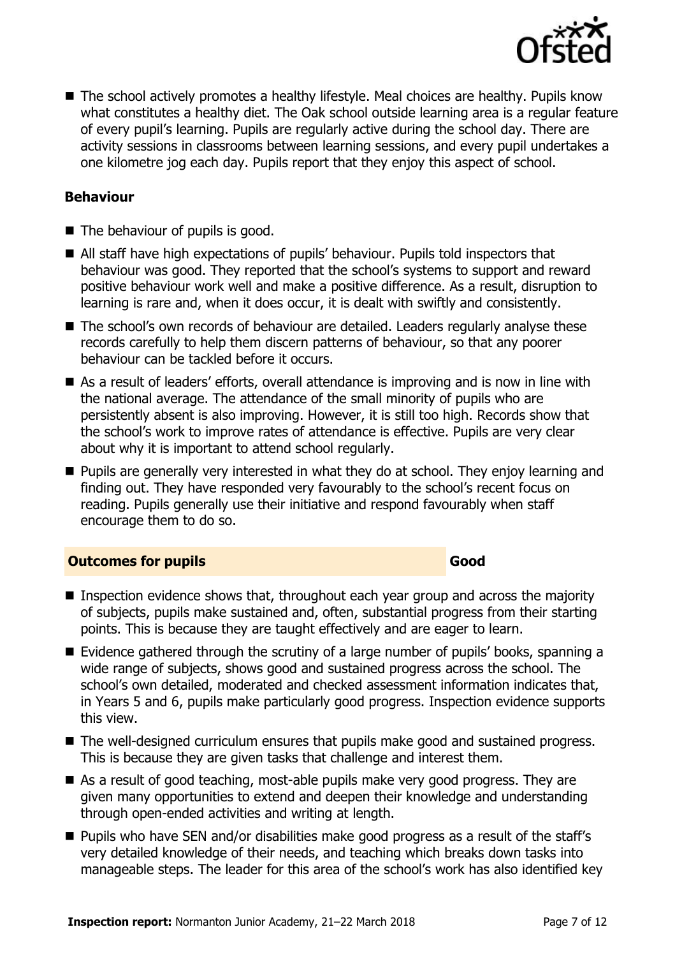

■ The school actively promotes a healthy lifestyle. Meal choices are healthy. Pupils know what constitutes a healthy diet. The Oak school outside learning area is a regular feature of every pupil's learning. Pupils are regularly active during the school day. There are activity sessions in classrooms between learning sessions, and every pupil undertakes a one kilometre jog each day. Pupils report that they enjoy this aspect of school.

#### **Behaviour**

- The behaviour of pupils is good.
- All staff have high expectations of pupils' behaviour. Pupils told inspectors that behaviour was good. They reported that the school's systems to support and reward positive behaviour work well and make a positive difference. As a result, disruption to learning is rare and, when it does occur, it is dealt with swiftly and consistently.
- The school's own records of behaviour are detailed. Leaders regularly analyse these records carefully to help them discern patterns of behaviour, so that any poorer behaviour can be tackled before it occurs.
- As a result of leaders' efforts, overall attendance is improving and is now in line with the national average. The attendance of the small minority of pupils who are persistently absent is also improving. However, it is still too high. Records show that the school's work to improve rates of attendance is effective. Pupils are very clear about why it is important to attend school regularly.
- **Pupils are generally very interested in what they do at school. They enjoy learning and** finding out. They have responded very favourably to the school's recent focus on reading. Pupils generally use their initiative and respond favourably when staff encourage them to do so.

#### **Outcomes for pupils Good Good**

- **Inspection evidence shows that, throughout each year group and across the majority** of subjects, pupils make sustained and, often, substantial progress from their starting points. This is because they are taught effectively and are eager to learn.
- Evidence gathered through the scrutiny of a large number of pupils' books, spanning a wide range of subjects, shows good and sustained progress across the school. The school's own detailed, moderated and checked assessment information indicates that, in Years 5 and 6, pupils make particularly good progress. Inspection evidence supports this view.
- The well-designed curriculum ensures that pupils make good and sustained progress. This is because they are given tasks that challenge and interest them.
- As a result of good teaching, most-able pupils make very good progress. They are given many opportunities to extend and deepen their knowledge and understanding through open-ended activities and writing at length.
- **Pupils who have SEN and/or disabilities make good progress as a result of the staff's** very detailed knowledge of their needs, and teaching which breaks down tasks into manageable steps. The leader for this area of the school's work has also identified key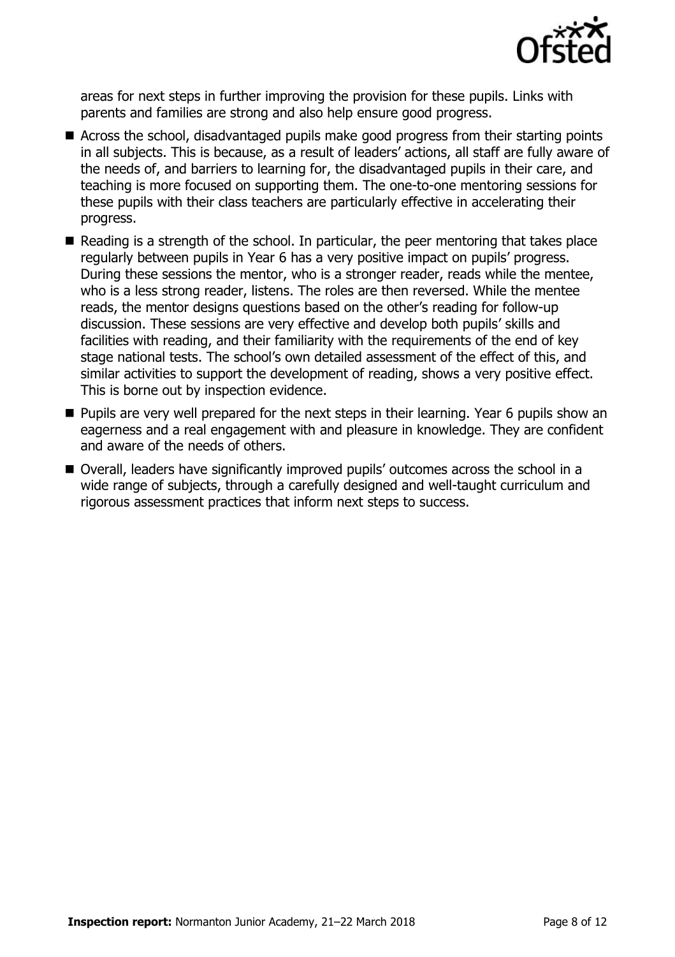

areas for next steps in further improving the provision for these pupils. Links with parents and families are strong and also help ensure good progress.

- Across the school, disadvantaged pupils make good progress from their starting points in all subjects. This is because, as a result of leaders' actions, all staff are fully aware of the needs of, and barriers to learning for, the disadvantaged pupils in their care, and teaching is more focused on supporting them. The one-to-one mentoring sessions for these pupils with their class teachers are particularly effective in accelerating their progress.
- Reading is a strength of the school. In particular, the peer mentoring that takes place regularly between pupils in Year 6 has a very positive impact on pupils' progress. During these sessions the mentor, who is a stronger reader, reads while the mentee, who is a less strong reader, listens. The roles are then reversed. While the mentee reads, the mentor designs questions based on the other's reading for follow-up discussion. These sessions are very effective and develop both pupils' skills and facilities with reading, and their familiarity with the requirements of the end of key stage national tests. The school's own detailed assessment of the effect of this, and similar activities to support the development of reading, shows a very positive effect. This is borne out by inspection evidence.
- **Pupils are very well prepared for the next steps in their learning. Year 6 pupils show an** eagerness and a real engagement with and pleasure in knowledge. They are confident and aware of the needs of others.
- Overall, leaders have significantly improved pupils' outcomes across the school in a wide range of subjects, through a carefully designed and well-taught curriculum and rigorous assessment practices that inform next steps to success.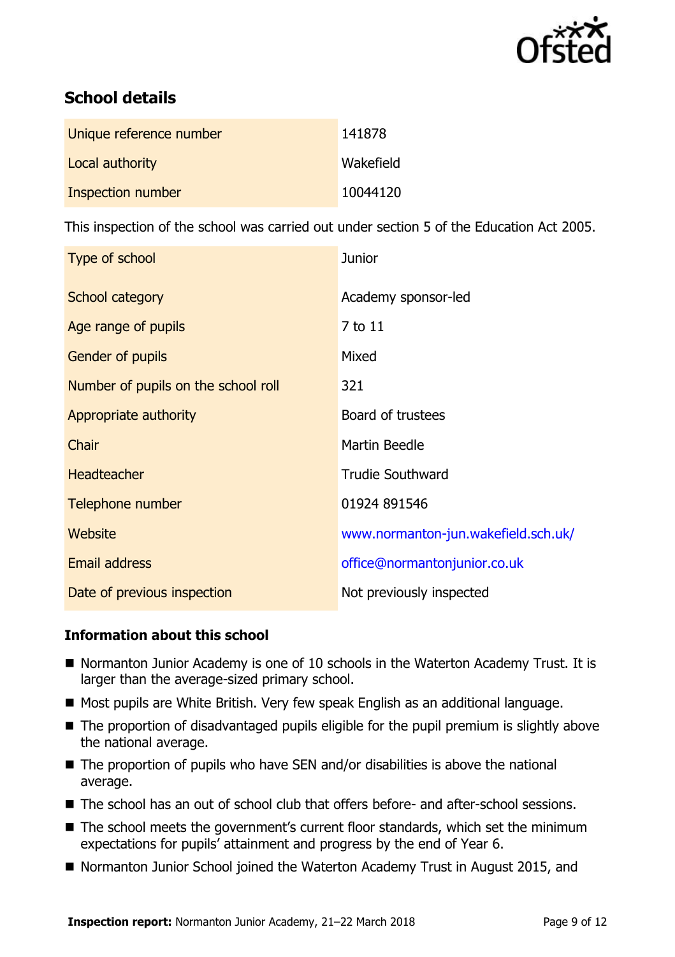

# **School details**

| Unique reference number | 141878    |
|-------------------------|-----------|
| Local authority         | Wakefield |
| Inspection number       | 10044120  |

This inspection of the school was carried out under section 5 of the Education Act 2005.

| Type of school                      | <b>Junior</b>                       |
|-------------------------------------|-------------------------------------|
| School category                     | Academy sponsor-led                 |
| Age range of pupils                 | 7 to 11                             |
| Gender of pupils                    | Mixed                               |
| Number of pupils on the school roll | 321                                 |
| Appropriate authority               | Board of trustees                   |
| Chair                               | Martin Beedle                       |
| <b>Headteacher</b>                  | <b>Trudie Southward</b>             |
| Telephone number                    | 01924 891546                        |
| Website                             | www.normanton-jun.wakefield.sch.uk/ |
| <b>Email address</b>                | office@normantonjunior.co.uk        |
| Date of previous inspection         | Not previously inspected            |

### **Information about this school**

- Normanton Junior Academy is one of 10 schools in the Waterton Academy Trust. It is larger than the average-sized primary school.
- Most pupils are White British. Very few speak English as an additional language.
- The proportion of disadvantaged pupils eligible for the pupil premium is slightly above the national average.
- $\blacksquare$  The proportion of pupils who have SEN and/or disabilities is above the national average.
- The school has an out of school club that offers before- and after-school sessions.
- The school meets the government's current floor standards, which set the minimum expectations for pupils' attainment and progress by the end of Year 6.
- Normanton Junior School joined the Waterton Academy Trust in August 2015, and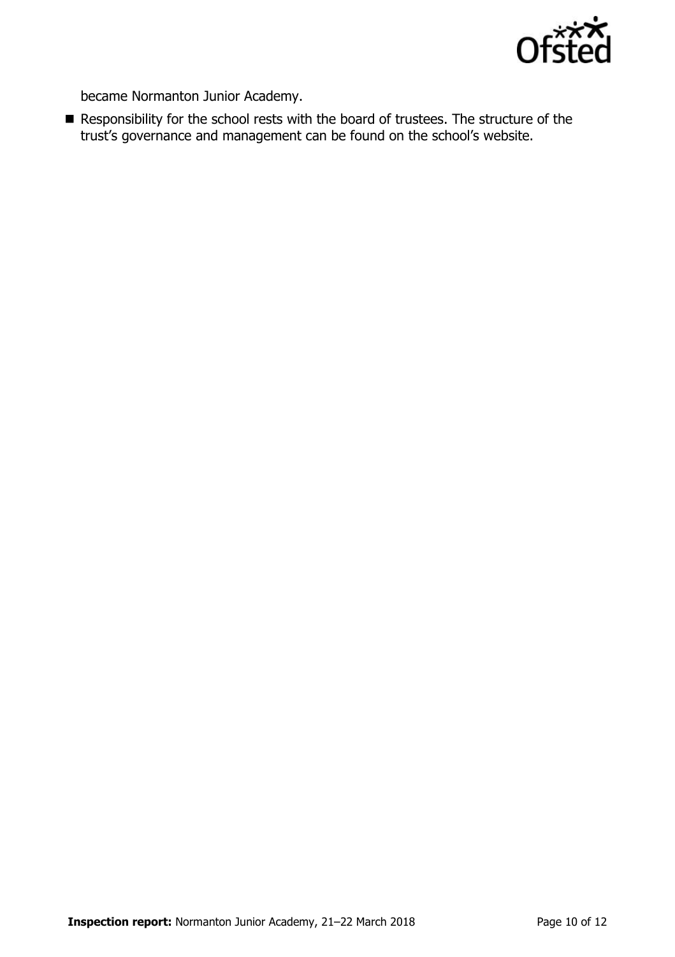

became Normanton Junior Academy.

Responsibility for the school rests with the board of trustees. The structure of the trust's governance and management can be found on the school's website.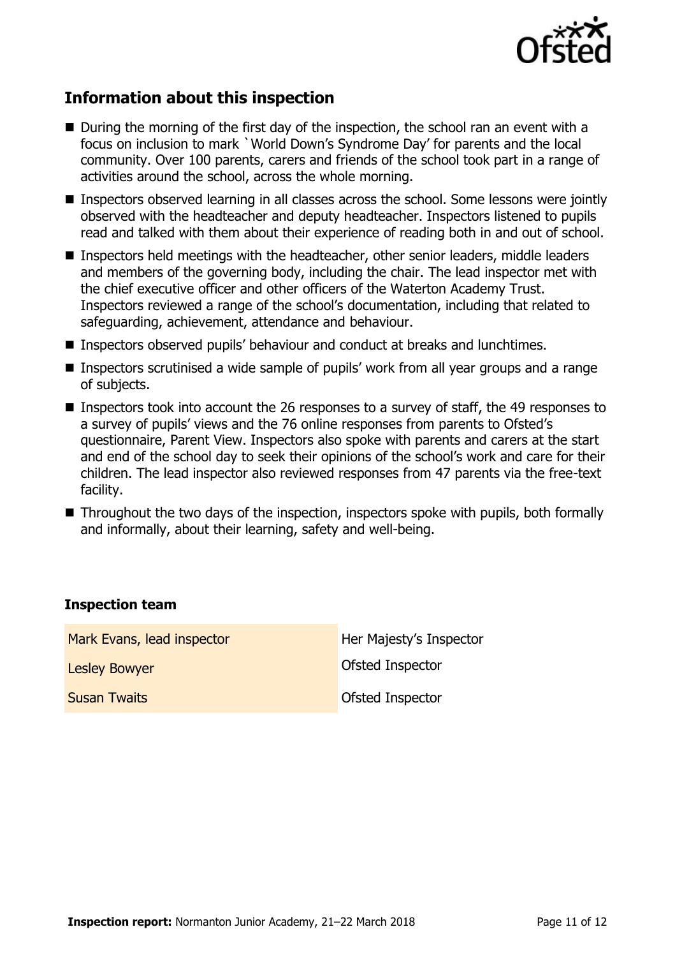

# **Information about this inspection**

- During the morning of the first day of the inspection, the school ran an event with a focus on inclusion to mark `World Down's Syndrome Day' for parents and the local community. Over 100 parents, carers and friends of the school took part in a range of activities around the school, across the whole morning.
- Inspectors observed learning in all classes across the school. Some lessons were jointly observed with the headteacher and deputy headteacher. Inspectors listened to pupils read and talked with them about their experience of reading both in and out of school.
- **Inspectors held meetings with the headteacher, other senior leaders, middle leaders** and members of the governing body, including the chair. The lead inspector met with the chief executive officer and other officers of the Waterton Academy Trust. Inspectors reviewed a range of the school's documentation, including that related to safeguarding, achievement, attendance and behaviour.
- Inspectors observed pupils' behaviour and conduct at breaks and lunchtimes.
- Inspectors scrutinised a wide sample of pupils' work from all year groups and a range of subjects.
- Inspectors took into account the 26 responses to a survey of staff, the 49 responses to a survey of pupils' views and the 76 online responses from parents to Ofsted's questionnaire, Parent View. Inspectors also spoke with parents and carers at the start and end of the school day to seek their opinions of the school's work and care for their children. The lead inspector also reviewed responses from 47 parents via the free-text facility.
- Throughout the two days of the inspection, inspectors spoke with pupils, both formally and informally, about their learning, safety and well-being.

#### **Inspection team**

| Mark Evans, lead inspector | Her Majesty's Inspector |
|----------------------------|-------------------------|
| <b>Lesley Bowyer</b>       | Ofsted Inspector        |
| <b>Susan Twaits</b>        | <b>Ofsted Inspector</b> |